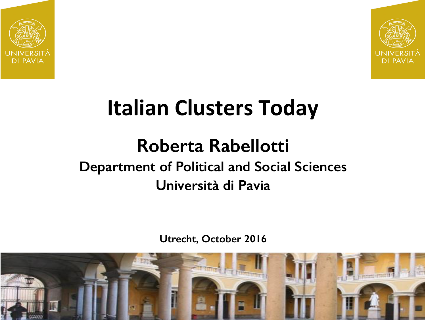



# **Italian Clusters Today**

### **Roberta Rabellotti Department of Political and Social Sciences Università di Pavia**

**Utrecht, October 2016**

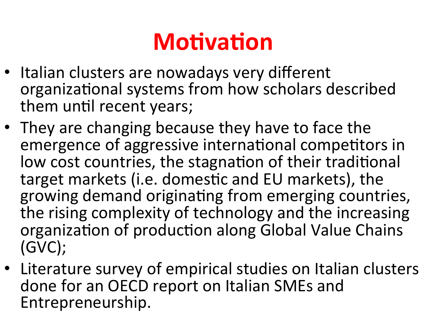# **Motivation**

- Italian clusters are nowadays very different organizational systems from how scholars described them until recent years;
- They are changing because they have to face the emergence of aggressive international competitors in low cost countries, the stagnation of their traditional target markets (i.e. domestic and EU markets), the growing demand originating from emerging countries, the rising complexity of technology and the increasing organization of production along Global Value Chains (GVC);
- Literature survey of empirical studies on Italian clusters done for an OECD report on Italian SMEs and Entrepreneurship.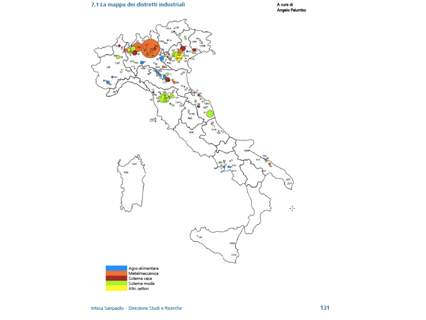#### 7.1 La mappa dei distretti industriali

A cura di Angelo Palumbo

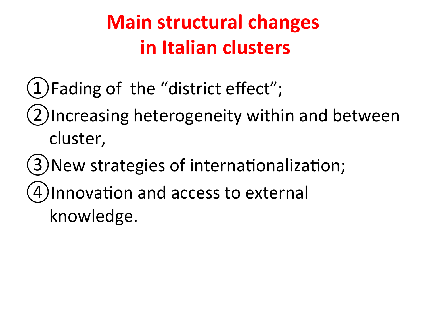# **Main structural changes in Italian clusters**

- $(1)$ Fading of the "district effect";
- (2)Increasing heterogeneity within and between cluster,
- (3) New strategies of internationalization;
- (4) Innovation and access to external
	- knowledge.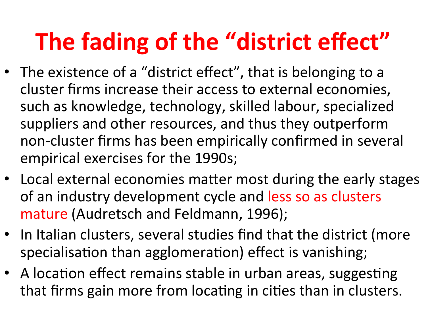# **The fading of the "district effect"**

- The existence of a "district effect", that is belonging to a cluster firms increase their access to external economies, such as knowledge, technology, skilled labour, specialized suppliers and other resources, and thus they outperform non-cluster firms has been empirically confirmed in several empirical exercises for the 1990s;
- Local external economies matter most during the early stages of an industry development cycle and less so as clusters mature (Audretsch and Feldmann, 1996);
- In Italian clusters, several studies find that the district (more specialisation than agglomeration) effect is vanishing;
- A location effect remains stable in urban areas, suggesting that firms gain more from locating in cities than in clusters.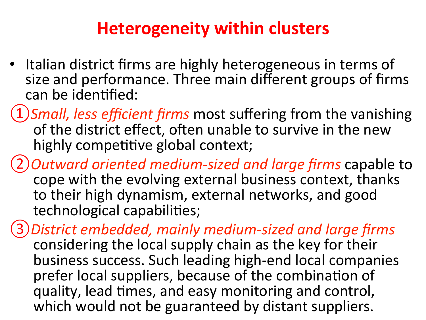### **Heterogeneity within clusters**

- Italian district firms are highly heterogeneous in terms of size and performance. Three main different groups of firms can be identified:
- 1) Small, less efficient firms most suffering from the vanishing of the district effect, often unable to survive in the new highly competitive global context;
- *②Outward oriented medium-sized and large firms* capable to cope with the evolving external business context, thanks to their high dynamism, external networks, and good technological capabilities;
- *③District embedded, mainly medium-sized and large firms*  considering the local supply chain as the key for their business success. Such leading high-end local companies prefer local suppliers, because of the combination of quality, lead times, and easy monitoring and control, which would not be guaranteed by distant suppliers.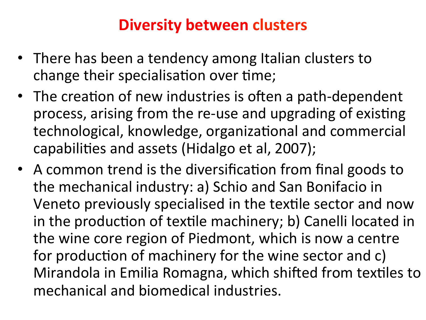#### **Diversity between clusters**

- There has been a tendency among Italian clusters to change their specialisation over time;
- The creation of new industries is often a path-dependent process, arising from the re-use and upgrading of existing technological, knowledge, organizational and commercial capabilities and assets (Hidalgo et al, 2007);
- A common trend is the diversification from final goods to the mechanical industry: a) Schio and San Bonifacio in Veneto previously specialised in the textile sector and now in the production of textile machinery; b) Canelli located in the wine core region of Piedmont, which is now a centre for production of machinery for the wine sector and c) Mirandola in Emilia Romagna, which shifted from textiles to mechanical and biomedical industries.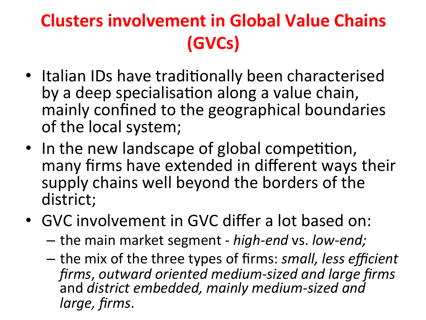## **Clusters involvement in Global Value Chains (GVCs)**

- Italian IDs have traditionally been characterised by a deep specialisation along a value chain, mainly confined to the geographical boundaries of the local system;
- In the new landscape of global competition, many firms have extended in different ways their supply chains well beyond the borders of the district;
- GVC involvement in GVC differ a lot based on:
	- $-$  the main market segment *high-end* vs. *low-end;*
	- $-$  the mix of the three types of firms: *small, less efficient* firms, outward oriented medium-sized and large firms and district embedded, mainly medium-sized and *large, firms*.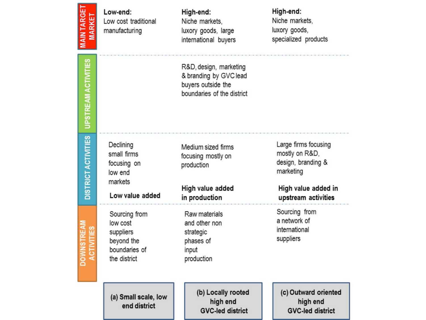| <b>MAIN TARGE</b><br><b>MARKE</b> | Low-end:<br>Low cost traditional<br>manufacturing                                     | High-end:<br>Niche markets,<br>luxory goods, large<br>international buyers                           | High-end:<br>Niche markets.<br>luxory goods,<br>specialized products                                                    |
|-----------------------------------|---------------------------------------------------------------------------------------|------------------------------------------------------------------------------------------------------|-------------------------------------------------------------------------------------------------------------------------|
| <b>UPSTREAM ACTIVITIES</b>        |                                                                                       | R&D, design, marketing<br>& branding by GVC lead<br>buyers outside the<br>boundaries of the district |                                                                                                                         |
| <b>DISTRICT ACTIVITIES</b>        | Declining<br>small firms<br>focusing on<br>low end<br>markets<br>Low value added      | Medium sized firms<br>focusing mostly on<br>production<br>High value added<br>in production          | Large firms focusing<br>mostly on R&D,<br>design, branding &<br>marketing<br>High value added in<br>upstream activities |
|                                   | Sourcing from<br>low cost<br>suppliers<br>beyond the<br>boundaries of<br>the district | Raw materials<br>and other non<br>strategic<br>phases of<br>input<br>production                      | Sourcing from<br>a network of<br>international<br>suppliers                                                             |
|                                   | (a) Small scale, low<br>end district                                                  | (b) Locally rooted<br>high end<br><b>GVC-led district</b>                                            | (c) Outward oriented<br>high end<br><b>GVC-led district</b>                                                             |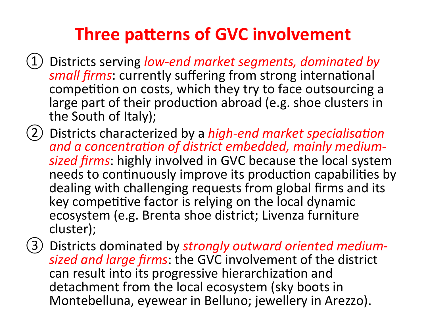### **Three patterns of GVC involvement**

- Districts serving low-end market segments, dominated by *small firms*: currently suffering from strong international competition on costs, which they try to face outsourcing a large part of their production abroad (e.g. shoe clusters in the South of Italy);
- (2) Districts characterized by a *high-end market specialisation* and a concentration of district embedded, mainly mediumsized firms: highly involved in GVC because the local system needs to continuously improve its production capabilities by dealing with challenging requests from global firms and its key competitive factor is relying on the local dynamic ecosystem (e.g. Brenta shoe district; Livenza furniture cluster);
- ③ Districts dominated by *strongly outward oriented medium*sized and large firms: the GVC involvement of the district can result into its progressive hierarchization and detachment from the local ecosystem (sky boots in Montebelluna, eyewear in Belluno; jewellery in Arezzo).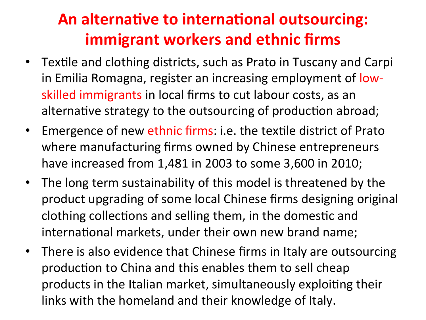#### **An alternative to international outsourcing: immigrant workers and ethnic firms**

- Textile and clothing districts, such as Prato in Tuscany and Carpi in Emilia Romagna, register an increasing employment of lowskilled immigrants in local firms to cut labour costs, as an alternative strategy to the outsourcing of production abroad;
- Emergence of new ethnic firms: i.e. the textile district of Prato where manufacturing firms owned by Chinese entrepreneurs have increased from 1,481 in 2003 to some 3,600 in 2010;
- The long term sustainability of this model is threatened by the product upgrading of some local Chinese firms designing original clothing collections and selling them, in the domestic and international markets, under their own new brand name;
- There is also evidence that Chinese firms in Italy are outsourcing production to China and this enables them to sell cheap products in the Italian market, simultaneously exploiting their links with the homeland and their knowledge of Italy.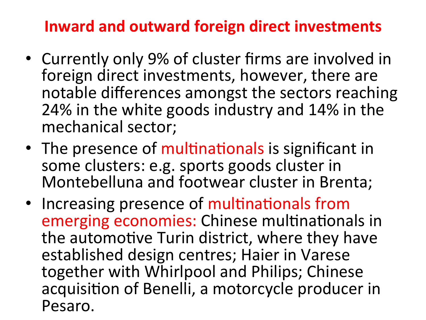#### **Inward and outward foreign direct investments**

- Currently only 9% of cluster firms are involved in foreign direct investments, however, there are notable differences amongst the sectors reaching 24% in the white goods industry and 14% in the mechanical sector;
- The presence of multinationals is significant in some clusters: e.g. sports goods cluster in Montebelluna and footwear cluster in Brenta;
- Increasing presence of multinationals from emerging economies: Chinese multinationals in the automotive Turin district, where they have established design centres; Haier in Varese together with Whirlpool and Philips; Chinese acquisition of Benelli, a motorcycle producer in Pesaro.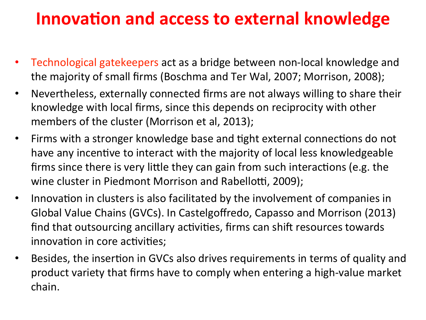### **Innovation and access to external knowledge**

- Technological gatekeepers act as a bridge between non-local knowledge and the majority of small firms (Boschma and Ter Wal, 2007; Morrison, 2008);
- Nevertheless, externally connected firms are not always willing to share their knowledge with local firms, since this depends on reciprocity with other members of the cluster (Morrison et al, 2013);
- Firms with a stronger knowledge base and tight external connections do not have any incentive to interact with the majority of local less knowledgeable firms since there is very little they can gain from such interactions (e.g. the wine cluster in Piedmont Morrison and Rabellotti, 2009);
- Innovation in clusters is also facilitated by the involvement of companies in Global Value Chains (GVCs). In Castelgoffredo, Capasso and Morrison (2013) find that outsourcing ancillary activities, firms can shift resources towards innovation in core activities;
- Besides, the insertion in GVCs also drives requirements in terms of quality and product variety that firms have to comply when entering a high-value market chain.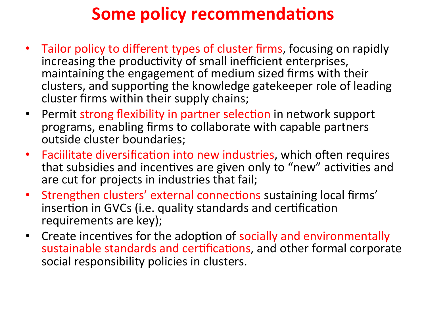### **Some policy recommendations**

- Tailor policy to different types of cluster firms, focusing on rapidly increasing the productivity of small inefficient enterprises, maintaining the engagement of medium sized firms with their clusters, and supporting the knowledge gatekeeper role of leading cluster firms within their supply chains;
- Permit strong flexibility in partner selection in network support programs, enabling firms to collaborate with capable partners outside cluster boundaries;
- Faciilitate diversification into new industries, which often requires that subsidies and incentives are given only to "new" activities and are cut for projects in industries that fail;
- Strengthen clusters' external connections sustaining local firms' insertion in GVCs (i.e. quality standards and certification requirements are key);
- Create incentives for the adoption of socially and environmentally sustainable standards and certifications, and other formal corporate social responsibility policies in clusters.